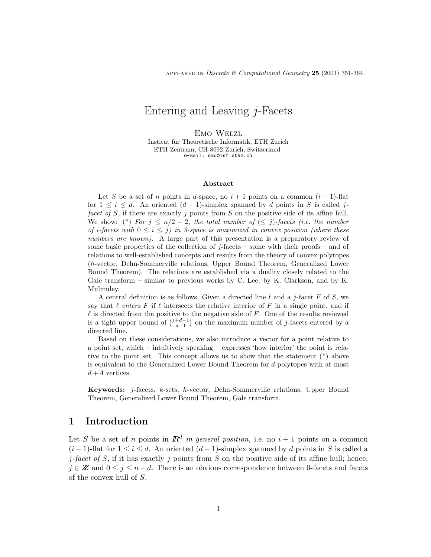APPEARED IN Discrete & Computational Geometry 25 (2001) 351-364.

# Entering and Leaving j-Facets

Emo Welzl Institut für Theoretische Informatik, ETH Zurich ETH Zentrum, CH-8092 Zurich, Switzerland e-mail: emo@inf.ethz.ch

#### Abstract

Let S be a set of n points in d-space, no  $i + 1$  points on a common  $(i - 1)$ -flat for  $1 \leq i \leq d$ . An oriented  $(d-1)$ -simplex spanned by d points in S is called jfacet of S, if there are exactly j points from S on the positive side of its affine hull. We show: (\*) For  $j \leq n/2-2$ , the total number of  $(\leq j)$ -facets (i.e. the number of *i*-facets with  $0 \le i \le j$  in 3-space is maximized in convex position (where these numbers are known). A large part of this presentation is a preparatory review of some basic properties of the collection of  $j$ -facets – some with their proofs – and of relations to well-established concepts and results from the theory of convex polytopes (h-vector, Dehn-Sommerville relations, Upper Bound Theorem, Generalized Lower Bound Theorem). The relations are established via a duality closely related to the Gale transform – similar to previous works by C. Lee, by K. Clarkson, and by K. Mulmuley.

A central definition is as follows. Given a directed line  $\ell$  and a j-facet F of S, we say that  $\ell$  enters F if  $\ell$  intersects the relative interior of F in a single point, and if  $\ell$  is directed from the positive to the negative side of  $F$ . One of the results reviewed is a tight upper bound of  $\binom{j+d-1}{d-1}$  on the maximum number of j-facets entered by a directed line.

Based on these considerations, we also introduce a vector for a point relative to a point set, which – intuitively speaking – expresses 'how interior' the point is relative to the point set. This concept allows us to show that the statement (\*) above is equivalent to the Generalized Lower Bound Theorem for d-polytopes with at most  $d+4$  vertices.

Keywords: j-facets, k-sets, h-vector, Dehn-Sommerville relations, Upper Bound Theorem, Generalized Lower Bound Theorem, Gale transform.

#### 1 Introduction

Let S be a set of n points in  $\mathbb{R}^d$  in general position, i.e. no  $i+1$  points on a common  $(i-1)$ -flat for  $1 \leq i \leq d$ . An oriented  $(d-1)$ -simplex spanned by d points in S is called a j-facet of S, if it has exactly j points from S on the positive side of its affine hull; hence,  $j \in \mathbb{Z}$  and  $0 \leq j \leq n-d$ . There is an obvious correspondence between 0-facets and facets of the convex hull of S.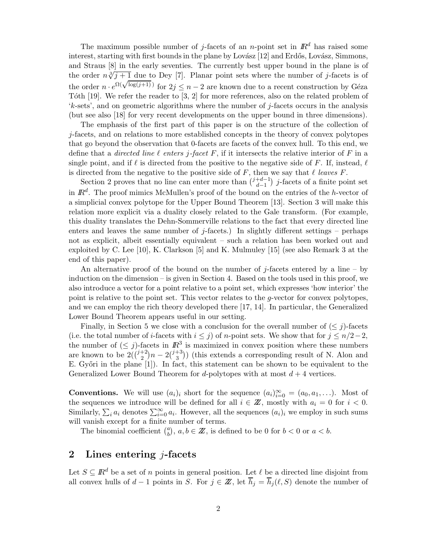The maximum possible number of j-facets of an n-point set in  $\mathbb{R}^d$  has raised some interest, starting with first bounds in the plane by Lovász [12] and Erdős, Lovász, Simmons, and Straus [8] in the early seventies. The currently best upper bound in the plane is of the order  $n\sqrt[3]{j+1}$  due to Dey [7]. Planar point sets where the number of j-facets is of the order  $n \cdot e^{\Omega(\sqrt{\log(j+1)})}$  for  $2j \leq n-2$  are known due to a recent construction by Géza Tóth  $[19]$ . We refer the reader to  $[3, 2]$  for more references, also on the related problem of 'k-sets', and on geometric algorithms where the number of j-facets occurs in the analysis (but see also [18] for very recent developments on the upper bound in three dimensions).

The emphasis of the first part of this paper is on the structure of the collection of j-facets, and on relations to more established concepts in the theory of convex polytopes that go beyond the observation that 0-facets are facets of the convex hull. To this end, we define that a *directed line*  $\ell$  *enters j-facet F*, if it intersects the relative interior of F in a single point, and if  $\ell$  is directed from the positive to the negative side of F. If, instead,  $\ell$ is directed from the negative to the positive side of  $F$ , then we say that  $\ell$  leaves  $F$ .

Section 2 proves that no line can enter more than  $\binom{j+d-1}{d-1}$ )  $j$ -facets of a finite point set in  $\mathbb{R}^d$ . The proof mimics McMullen's proof of the bound on the entries of the h-vector of a simplicial convex polytope for the Upper Bound Theorem [13]. Section 3 will make this relation more explicit via a duality closely related to the Gale transform. (For example, this duality translates the Dehn-Sommerville relations to the fact that every directed line enters and leaves the same number of j-facets.) In slightly different settings – perhaps not as explicit, albeit essentially equivalent – such a relation has been worked out and exploited by C. Lee [10], K. Clarkson [5] and K. Mulmuley [15] (see also Remark 3 at the end of this paper).

An alternative proof of the bound on the number of j-facets entered by a line – by induction on the dimension – is given in Section 4. Based on the tools used in this proof, we also introduce a vector for a point relative to a point set, which expresses 'how interior' the point is relative to the point set. This vector relates to the g-vector for convex polytopes, and we can employ the rich theory developed there [17, 14]. In particular, the Generalized Lower Bound Theorem appears useful in our setting.

Finally, in Section 5 we close with a conclusion for the overall number of  $(\leq j)$ -facets (i.e. the total number of i-facets with  $i \leq j$ ) of n-point sets. We show that for  $j \leq n/2-2$ , the number of  $(\leq j)$ -facets in  $\mathbb{R}^3$  is maximized in convex position where these numbers are known to be  $2({i+2 \choose 2}n-2{{i+3} \choose 3})$  (this extends a corresponding result of N. Alon and E. Győri in the plane  $[1]$ ). In fact, this statement can be shown to be equivalent to the Generalized Lower Bound Theorem for d-polytopes with at most  $d+4$  vertices.

**Conventions.** We will use  $(a_i)_i$  short for the sequence  $(a_i)_{i=0}^{\infty} = (a_0, a_1, \ldots)$ . Most of the sequences we introduce will be defined for all  $i \in \mathbb{Z}$ , mostly with  $a_i = 0$  for  $i < 0$ . Similarly,  $\sum_i a_i$  denotes  $\sum_{i=0}^{\infty} a_i$ . However, all the sequences  $(a_i)_i$  we employ in such sums will vanish except for a finite number of terms.

The binomial coefficient  $\binom{a}{b}$ ,  $a, b \in \mathbb{Z}$ , is defined to be 0 for  $b < 0$  or  $a < b$ .

## 2 Lines entering  $i$ -facets

Let  $S \subseteq \mathbb{R}^d$  be a set of n points in general position. Let  $\ell$  be a directed line disjoint from all convex hulls of  $d-1$  points in S. For  $j \in \mathbb{Z}$ , let  $\overline{h}_j = \overline{h}_j (\ell, S)$  denote the number of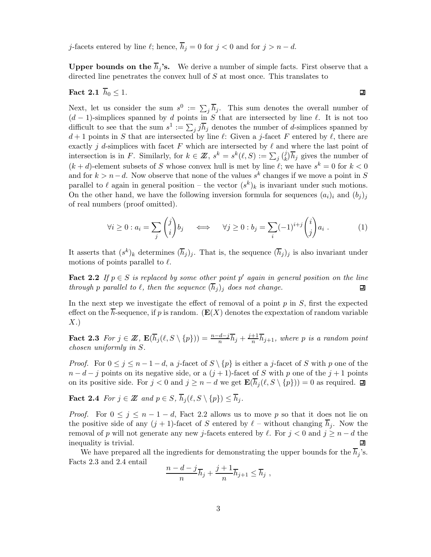j-facets entered by line  $\ell;$  hence,  $\overline{h}_j = 0$  for  $j < 0$  and for  $j > n - d.$ 

**Upper bounds on the**  $\overline{h}_i$ **'s.** We derive a number of simple facts. First observe that a directed line penetrates the convex hull of S at most once. This translates to

$$
Fact 2.1 h0 \le 1.
$$

Next, let us consider the sum  $s^0 := \sum_j \overline{h}_j$ . This sum denotes the overall number of  $(d-1)$ -simplices spanned by d points in S that are intersected by line  $\ell$ . It is not too difficult to see that the sum  $s^1 := \sum_j j \overline{h}_j$  denotes the number of d-simplices spanned by  $d+1$  points in S that are intersected by line  $\ell$ : Given a j-facet F entered by  $\ell$ , there are exactly j d-simplices with facet F which are intersected by  $\ell$  and where the last point of intersection is in F. Similarly, for  $k \in \mathbb{Z}$ ,  $s^k = s^k(\ell, S) := \sum_j \binom{j}{k} \overline{h}_j$  gives the number of  $(k + d)$ -element subsets of S whose convex hull is met by line  $\ell$ ; we have  $s^k = 0$  for  $k < 0$ and for  $k > n-d$ . Now observe that none of the values s<sup>k</sup> changes if we move a point in S parallel to  $\ell$  again in general position – the vector  $(s^k)_k$  is invariant under such motions. On the other hand, we have the following inversion formula for sequences  $(a_i)_i$  and  $(b_j)_j$ of real numbers (proof omitted).

$$
\forall i \geq 0 : a_i = \sum_j \binom{j}{i} b_j \qquad \Longleftrightarrow \qquad \forall j \geq 0 : b_j = \sum_i (-1)^{i+j} \binom{i}{j} a_i . \tag{1}
$$

It asserts that  $(s^k)_k$  determines  $(\overline{h}_j)_j$ . That is, the sequence  $(\overline{h}_j)_j$  is also invariant under motions of points parallel to  $\ell$ .

**Fact 2.2** If  $p \in S$  is replaced by some other point p' again in general position on the line through p parallel to  $\ell$ , then the sequence  $(\overline{h}_j)_j$  does not change. 回

In the next step we investigate the effect of removal of a point  $p$  in  $S$ , first the expected effect on the  $\overline{h}$ -sequence, if p is random. ( $\mathbf{E}(X)$  denotes the expextation of random variable  $X.$ 

Fact 2.3 For  $j \in \mathbb{Z}$ ,  $\mathbf{E}(\overline{h}_j(\ell, S \setminus \{p\})) = \frac{n-d-j}{n} \overline{h}_j + \frac{j+1}{n} \overline{h}_{j+1}$ , where p is a random point chosen uniformly in S.

*Proof.* For  $0 \leq j \leq n-1-d$ , a j-facet of  $S \setminus \{p\}$  is either a j-facet of S with p one of the  $n - d - j$  points on its negative side, or a  $(j + 1)$ -facet of S with p one of the  $j + 1$  points on its positive side. For  $j < 0$  and  $j \ge n - d$  we get  $\mathbf{E}(\overline{h}_j(\ell, S \setminus \{p\})) = 0$  as required.  $\Box$ 

**Fact 2.4** For  $j \in \mathbb{Z}$  and  $p \in S$ ,  $\overline{h}_j(\ell, S \setminus \{p\}) \leq \overline{h}_j$ .

*Proof.* For  $0 \le j \le n-1-d$ , Fact 2.2 allows us to move p so that it does not lie on the positive side of any  $(j + 1)$ -facet of S entered by  $\ell$  – without changing  $\overline{h}_j$ . Now the removal of p will not generate any new j-facets entered by  $\ell$ . For  $j < 0$  and  $j \geq n - d$  the inequality is trivial. □

We have prepared all the ingredients for demonstrating the upper bounds for the  $\overline{h}_i$ 's. Facts 2.3 and 2.4 entail

$$
\frac{n-d-j}{n}\overline{h}_j+\frac{j+1}{n}\overline{h}_{j+1}\leq \overline{h}_j,
$$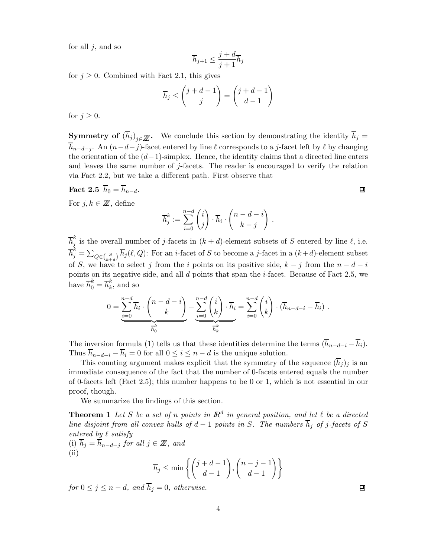for all  $j$ , and so

$$
\overline{h}_{j+1} \le \frac{j+d}{j+1} \overline{h}_j
$$

for  $j \geq 0$ . Combined with Fact 2.1, this gives

$$
\overline{h}_j \le \binom{j+d-1}{j} = \binom{j+d-1}{d-1}
$$

for  $j \geq 0$ .

**Symmetry of**  $(\overline{h}_j)_{j\in\mathbb{Z}}$ . We conclude this section by demonstrating the identity  $\overline{h}_j =$  $\overline{h}_{n-d-j}$ . An  $(n-d-j)$ -facet entered by line  $\ell$  corresponds to a j-facet left by  $\ell$  by changing the orientation of the  $(d-1)$ -simplex. Hence, the identity claims that a directed line enters and leaves the same number of  $j$ -facets. The reader is encouraged to verify the relation via Fact 2.2, but we take a different path. First observe that

**Fact 2.5** 
$$
h_0 = h_{n-d}
$$
.

For  $j, k \in \mathbb{Z}$ , define

$$
\overline{h}_j^k := \sum_{i=0}^{n-d} \binom{i}{j} \cdot \overline{h}_i \cdot \binom{n-d-i}{k-j} .
$$

 $\overline{h}_j^k$  is the overall number of j-facets in  $(k + d)$ -element subsets of S entered by line  $\ell$ , i.e.  $\overline{h}_j^k = \sum_{Q \in {S \choose k+d}} \overline{h}_j(\ell, Q)$ : For an *i*-facet of S to become a *j*-facet in a  $(k+d)$ -element subset of S, we have to select j from the i points on its positive side,  $k - j$  from the  $n - d - i$ points on its negative side, and all d points that span the i-facet. Because of Fact 2.5, we have  $\overline{h}_0^k = \overline{h}_k^k$ , and so

$$
0 = \underbrace{\sum_{i=0}^{n-d} \overline{h}_i \cdot \binom{n-d-i}{k}}_{\overline{h}_0^k} - \underbrace{\sum_{i=0}^{n-d} \binom{i}{k} \cdot \overline{h}_i}_{\overline{h}_k^k} = \sum_{i=0}^{n-d} \binom{i}{k} \cdot (\overline{h}_{n-d-i} - \overline{h}_i) .
$$

The inversion formula (1) tells us that these identities determine the terms  $(\overline{h}_{n-d-i} - \overline{h}_i)$ . Thus  $\overline{h}_{n-d-i} - \overline{h}_i = 0$  for all  $0 \leq i \leq n-d$  is the unique solution.

This counting argument makes explicit that the symmetry of the sequence  $(\overline{h}_j)_j$  is an immediate consequence of the fact that the number of 0-facets entered equals the number of 0-facets left (Fact 2.5); this number happens to be 0 or 1, which is not essential in our proof, though.

We summarize the findings of this section.

**Theorem 1** Let S be a set of n points in  $\mathbb{R}^d$  in general position, and let  $\ell$  be a directed line disjoint from all convex hulls of  $d-1$  points in S. The numbers  $\overline{h}_i$  of j-facets of S entered by  $\ell$  satisfy (i)  $\overline{h}_j = \overline{h}_{n-d-j}$  for all  $j \in \mathbb{Z}$ , and

(ii)

$$
\overline{h}_j \le \min\left\{ \binom{j+d-1}{d-1}, \binom{n-j-1}{d-1} \right\}
$$

for  $0 \leq j \leq n-d$ , and  $\overline{h}_i = 0$ , otherwise.

回

 $\blacksquare$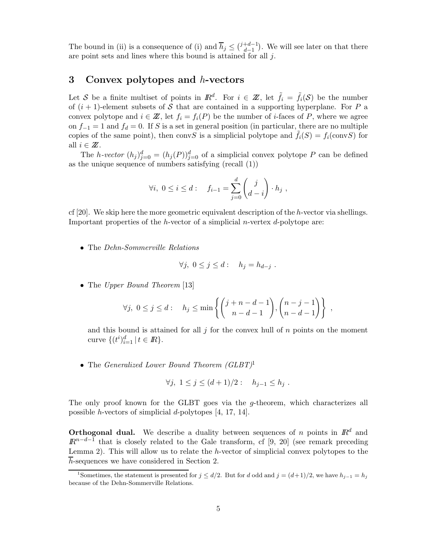The bound in (ii) is a consequence of (i) and  $\overline{h}_j \leq {j+d-1 \choose d-1}$ ). We will see later on that there are point sets and lines where this bound is attained for all  $j$ .

### 3 Convex polytopes and  $h$ -vectors

Let S be a finite multiset of points in  $\mathbb{R}^d$ . For  $i \in \mathbb{Z}$ , let  $\tilde{f}_i = \tilde{f}_i(\mathcal{S})$  be the number of  $(i + 1)$ -element subsets of S that are contained in a supporting hyperplane. For P a convex polytope and  $i \in \mathbb{Z}$ , let  $f_i = f_i(P)$  be the number of *i*-faces of P, where we agree on  $f_{-1} = 1$  and  $f_d = 0$ . If S is a set in general position (in particular, there are no multiple copies of the same point), then convS is a simplicial polytope and  $\tilde{f}_i(S) = f_i(\text{conv }S)$  for all  $i \in \mathbb{Z}$ .

The h-vector  $(h_j)_{j=0}^d = (h_j(P))_{j=0}^d$  of a simplicial convex polytope P can be defined as the unique sequence of numbers satisfying (recall (1))

$$
\forall i, \ 0 \le i \le d: \quad f_{i-1} = \sum_{j=0}^d \binom{j}{d-i} \cdot h_j \ ,
$$

cf  $[20]$ . We skip here the more geometric equivalent description of the h-vector via shellings. Important properties of the h-vector of a simplicial n-vertex  $d$ -polytope are:

• The Dehn-Sommerville Relations

$$
\forall j, \ 0 \leq j \leq d: \quad h_j = h_{d-j} .
$$

• The Upper Bound Theorem [13]

$$
\forall j, \ 0 \leq j \leq d: \quad h_j \leq \min\left\{ \binom{j+n-d-1}{n-d-1}, \binom{n-j-1}{n-d-1} \right\},
$$

and this bound is attained for all  $j$  for the convex hull of  $n$  points on the moment curve  $\{(t^i)_{i=1}^d | t \in \mathbb{R}\}.$ 

• The Generalized Lower Bound Theorem (GLBT)<sup>1</sup>

$$
\forall j, 1 \leq j \leq (d+1)/2: h_{j-1} \leq h_j.
$$

The only proof known for the GLBT goes via the g-theorem, which characterizes all possible h-vectors of simplicial d-polytopes [4, 17, 14].

**Orthogonal dual.** We describe a duality between sequences of n points in  $\mathbb{R}^d$  and  $\mathbb{R}^{n-d-1}$  that is closely related to the Gale transform, cf [9, 20] (see remark preceding Lemma 2). This will allow us to relate the  $h$ -vector of simplicial convex polytopes to the  $\overline{h}$ -sequences we have considered in Section 2.

<sup>&</sup>lt;sup>1</sup>Sometimes, the statement is presented for  $j \le d/2$ . But for d odd and  $j = (d+1)/2$ , we have  $h_{j-1} = h_j$ because of the Dehn-Sommerville Relations.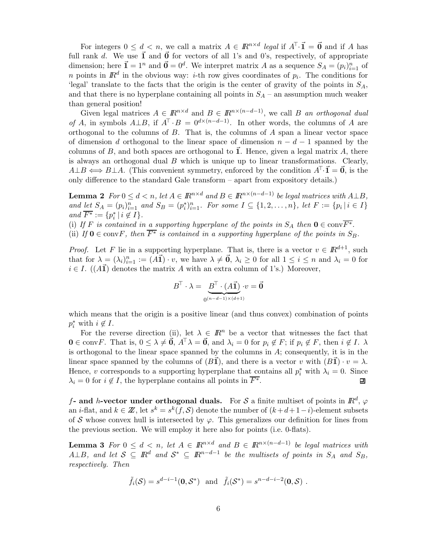For integers  $0 \leq d < n$ , we call a matrix  $A \in \mathbb{R}^{n \times d}$  legal if  $A^{\top} \cdot \vec{\mathbf{i}} = \vec{\mathbf{0}}$  and if A has full rank d. We use  $\vec{1}$  and  $\vec{0}$  for vectors of all 1's and 0's, respectively, of appropriate dimension; here  $\vec{\mathbf{I}} = 1^n$  and  $\vec{\mathbf{0}} = 0^d$ . We interpret matrix A as a sequence  $S_A = (p_i)_{i=1}^n$  of n points in  $\mathbb{R}^d$  in the obvious way: *i*-th row gives coordinates of  $p_i$ . The conditions for 'legal' translate to the facts that the origin is the center of gravity of the points in  $S_A$ , and that there is no hyperplane containing all points in  $S_A$  – an assumption much weaker than general position!

Given legal matrices  $A \in \mathbb{R}^{n \times d}$  and  $B \in \mathbb{R}^{n \times (n-d-1)}$ , we call B an orthogonal dual of A, in symbols  $A \perp B$ , if  $A^T \cdot B = 0^{d \times (n-d-1)}$ . In other words, the columns of A are orthogonal to the columns of  $B$ . That is, the columns of  $A$  span a linear vector space of dimension d orthogonal to the linear space of dimension  $n - d - 1$  spanned by the columns of B, and both spaces are orthogonal to  $\vec{1}$ . Hence, given a legal matrix A, there is always an orthogonal dual  $B$  which is unique up to linear transformations. Clearly,  $A \perp B \iff B \perp A$ . (This convenient symmetry, enforced by the condition  $A^T \cdot \vec{\mathbf{i}} = \vec{\mathbf{0}}$ , is the only difference to the standard Gale transform – apart from expository details.)

**Lemma 2**  $For \ 0 \leq d < n$ , let  $A \in \mathbb{R}^{n \times d}$  and  $B \in \mathbb{R}^{n \times (n-d-1)}$  be legal matrices with  $A \perp B$ , and <u>let</u>  $S_A = (p_i)_{i=1}^n$  and  $S_B = (p_i^*)_{i=1}^n$ . For some  $I \subseteq \{1, 2, ..., n\}$ , let  $F := \{p_i | i \in I\}$ and  $\overline{F^*} := \{p_i^* \mid i \notin I\}.$ 

(i) If F is contained in a supporting hyperplane of the points in  $S_A$  then  $\mathbf{0} \in \text{conv}^{\overline{F^*}}$ .

(ii) If  $0 \in \text{conv } F$ , then  $\overline{F^*}$  is contained in a supporting hyperplane of the points in  $S_B$ .

*Proof.* Let F lie in a supporting hyperplane. That is, there is a vector  $v \in \mathbb{R}^{d+1}$ , such that for  $\lambda = (\lambda_i)_{i=1}^n := (A\vec{\mathbf{1}}) \cdot v$ , we have  $\lambda \neq \vec{\mathbf{0}}$ ,  $\lambda_i \geq 0$  for all  $1 \leq i \leq n$  and  $\lambda_i = 0$  for  $i \in I$ . (( $A\vec{\mathbf{1}}$ ) denotes the matrix A with an extra column of 1's.) Moreover,

$$
B^{\!\top} \cdot \lambda = \underbrace{B^{\!\top}\cdot(A\vec{\bf 1})}_{0^{(n-d-1)\times(d+1)}}\!\cdot\!v = \vec{\bf 0}
$$

which means that the origin is a positive linear (and thus convex) combination of points  $p_i^*$  with  $i \notin I$ .

For the reverse direction (ii), let  $\lambda \in \mathbb{R}^n$  be a vector that witnesses the fact that  $\mathbf{0} \in \text{conv} F$ . That is,  $0 \leq \lambda \neq \vec{\mathbf{0}}$ ,  $A^{\top} \lambda = \vec{\mathbf{0}}$ , and  $\lambda_i = 0$  for  $p_i \notin F$ ; if  $p_i \notin F$ , then  $i \notin I$ .  $\lambda$ is orthogonal to the linear space spanned by the columns in  $A$ ; consequently, it is in the linear space spanned by the columns of  $(B\vec{\mathbf{l}})$ , and there is a vector v with  $(B\vec{\mathbf{l}}) \cdot v = \lambda$ . Hence, v corresponds to a supporting hyperplane that contains all  $p_i^*$  with  $\lambda_i = 0$ . Since  $\lambda_i = 0$  for  $i \notin I$ , the hyperplane contains all points in  $\overline{F^*}$ . 囙

f- and h-vector under orthogonal duals. For S a finite multiset of points in  $\mathbb{R}^d$ ,  $\varphi$ an i-flat, and  $k \in \mathbb{Z}$ , let  $s^k = s^k(f, \mathcal{S})$  denote the number of  $(k+d+1-i)$ -element subsets of S whose convex hull is intersected by  $\varphi$ . This generalizes our definition for lines from the previous section. We will employ it here also for points (i.e. 0-flats).

**Lemma 3** For  $0 \leq d \leq n$ , let  $A \in \mathbb{R}^{n \times d}$  and  $B \in \mathbb{R}^{n \times (n-d-1)}$  be legal matrices with A⊥B, and let  $S \subseteq \mathbb{R}^d$  and  $S^* \subseteq \mathbb{R}^{n-d-1}$  be the multisets of points in  $S_A$  and  $S_B$ , respectively. Then

$$
\tilde{f}_i(\mathcal{S}) = s^{d-i-1}(\mathbf{0}, \mathcal{S}^*)
$$
 and  $\tilde{f}_i(\mathcal{S}^*) = s^{n-d-i-2}(\mathbf{0}, \mathcal{S})$ .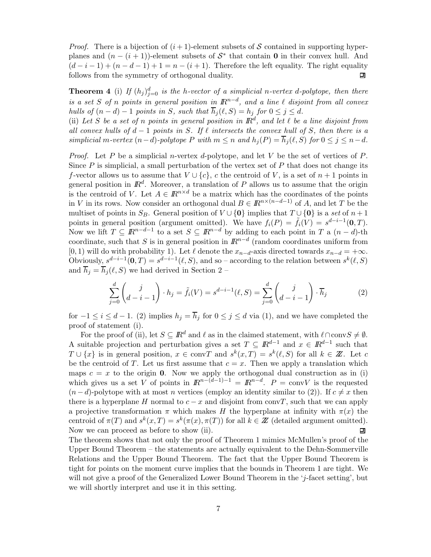*Proof.* There is a bijection of  $(i + 1)$ -element subsets of S contained in supporting hyperplanes and  $(n - (i + 1))$ -element subsets of  $S^*$  that contain 0 in their convex hull. And  $(d-i-1) + (n-d-1) + 1 = n - (i+1)$ . Therefore the left equality. The right equality follows from the symmetry of orthogonal duality. follows from the symmetry of orthogonal duality.

**Theorem 4** (i) If  $(h_j)_{j=0}^d$  is the h-vector of a simplicial n-vertex d-polytope, then there is a set S of n points in general position in  $\mathbb{R}^{n-d}$ , and a line  $\ell$  disjoint from all convex hulls of  $(n-d)-1$  points in S, such that  $\overline{h}_i(\ell, S) = h_i$  for  $0 \leq j \leq d$ .

(ii) Let S be a set of n points in general position in  $\mathbb{R}^d$ , and let  $\ell$  be a line disjoint from all convex hulls of  $d-1$  points in S. If  $\ell$  intersects the convex hull of S, then there is a simplicial m-vertex  $(n-d)$ -polytope P with  $m \leq n$  and  $h_i(P) = \overline{h}_i(\ell, S)$  for  $0 \leq j \leq n-d$ .

*Proof.* Let P be a simplicial n-vertex d-polytope, and let V be the set of vertices of P. Since  $P$  is simplicial, a small perturbation of the vertex set of  $P$  that does not change its f-vector allows us to assume that  $V \cup \{c\}$ , c the centroid of V, is a set of  $n+1$  points in general position in  $\mathbb{R}^d$ . Moreover, a translation of P allows us to assume that the origin is the centroid of V. Let  $A \in \mathbb{R}^{n \times d}$  be a matrix which has the coordinates of the points in V in its rows. Now consider an orthogonal dual  $B \in \mathbb{R}^{n \times (n-d-1)}$  of A, and let T be the multiset of points in  $S_B$ . General position of  $V \cup \{0\}$  implies that  $T \cup \{0\}$  is a set of  $n+1$ points in general position (argument omitted). We have  $f_i(P) = \tilde{f}_i(V) = s^{d-i-1}(0,T)$ . Now we lift  $T \subseteq \mathbb{R}^{n-d-1}$  to a set  $S \subseteq \mathbb{R}^{n-d}$  by adding to each point in T a  $(n-d)$ -th coordinate, such that S is in general position in  $\mathbb{R}^{n-d}$  (random coordinates uniform from [0, 1) will do with probability 1). Let  $\ell$  denote the  $x_{n-d}$ -axis directed towards  $x_{n-d} = +\infty$ . Obviously,  $s^{d-i-1}(0,T) = s^{d-i-1}(\ell, S)$ , and so – according to the relation between  $s^k(\ell, S)$ and  $\overline{h}_i = \overline{h}_i (\ell, S)$  we had derived in Section 2 –

$$
\sum_{j=0}^{d} {j \choose d-i-1} \cdot h_j = \tilde{f}_i(V) = s^{d-i-1}(\ell, S) = \sum_{j=0}^{d} {j \choose d-i-1} \cdot \overline{h}_j
$$
(2)

for  $-1 \leq i \leq d-1$ . (2) implies  $h_j = \overline{h}_j$  for  $0 \leq j \leq d$  via (1), and we have completed the proof of statement (i).

For the proof of (ii), let  $S \subseteq \mathbb{R}^d$  and  $\ell$  as in the claimed statement, with  $\ell \cap \text{conv}(S \neq \emptyset)$ . A suitable projection and perturbation gives a set  $T \subseteq \mathbb{R}^{d-1}$  and  $x \in \mathbb{R}^{d-1}$  such that  $T \cup \{x\}$  is in general position,  $x \in \text{conv}T$  and  $s^k(x,T) = s^k(\ell, S)$  for all  $k \in \mathbb{Z}$ . Let c be the centroid of T. Let us first assume that  $c = x$ . Then we apply a translation which maps  $c = x$  to the origin 0. Now we apply the orthogonal dual construction as in (i) which gives us a set V of points in  $\mathbb{R}^{n-(d-1)-1} = \mathbb{R}^{n-d}$ .  $P = \text{convV}$  is the requested  $(n-d)$ -polytope with at most n vertices (employ an identity similar to (2)). If  $c \neq x$  then there is a hyperplane H normal to  $c - x$  and disjoint from convT, such that we can apply a projective transformation  $\pi$  which makes H the hyperplane at infinity with  $\pi(x)$  the centroid of  $\pi(T)$  and  $s^k(x,T) = s^k(\pi(x), \pi(T))$  for all  $k \in \mathbb{Z}$  (detailed argument omitted).<br>Now we can proceed as before to show (ii). Now we can proceed as before to show (ii).

The theorem shows that not only the proof of Theorem 1 mimics McMullen's proof of the Upper Bound Theorem – the statements are actually equivalent to the Dehn-Sommerville Relations and the Upper Bound Theorem. The fact that the Upper Bound Theorem is tight for points on the moment curve implies that the bounds in Theorem 1 are tight. We will not give a proof of the Generalized Lower Bound Theorem in the 'j-facet setting', but we will shortly interpret and use it in this setting.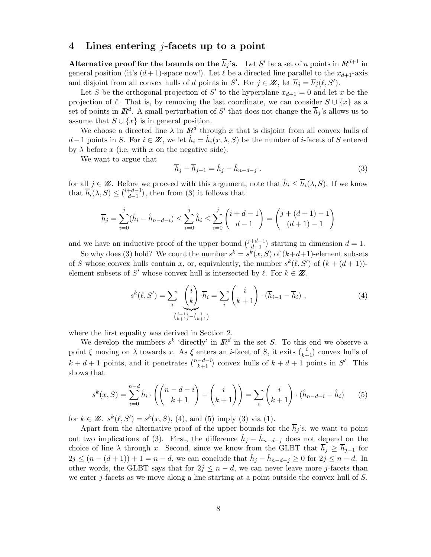#### 4 Lines entering j-facets up to a point

Alternative proof for the bounds on the  $\overline{h}_j$ 's. Let S' be a set of n points in  $\mathbb{R}^{d+1}$  in general position (it's  $(d+1)$ -space now!). Let  $\ell$  be a directed line parallel to the  $x_{d+1}$ -axis and disjoint from all convex hulls of d points in S'. For  $j \in \mathbb{Z}$ , let  $\overline{h}_j = \overline{h}_j(\ell, S')$ .

Let S be the orthogonal projection of S' to the hyperplane  $x_{d+1} = 0$  and let x be the projection of  $\ell$ . That is, by removing the last coordinate, we can consider  $S \cup \{x\}$  as a set of points in  $\mathbb{R}^d$ . A small perturbation of S' that does not change the  $\overline{h}_j$ 's allows us to assume that  $S \cup \{x\}$  is in general position.

We choose a directed line  $\lambda$  in  $\mathbb{R}^d$  through x that is disjoint from all convex hulls of d – 1 points in S. For  $i \in \mathbb{Z}$ , we let  $\hat{h}_i = \hat{h}_i(x, \lambda, S)$  be the number of i-facets of S entered by  $\lambda$  before x (i.e. with x on the negative side).

We want to argue that

$$
\overline{h}_j - \overline{h}_{j-1} = \hat{h}_j - \hat{h}_{n-d-j} \tag{3}
$$

for all  $j \in \mathbb{Z}$ . Before we proceed with this argument, note that  $\hat{h}_i \leq \overline{h}_i(\lambda, S)$ . If we know that  $\overline{h}_i(\lambda, S) \leq {i+d-1 \choose d-1}$  $\,$ , then from  $(3)$  it follows that

$$
\overline{h}_j = \sum_{i=0}^j (\hat{h}_i - \hat{h}_{n-d-i}) \le \sum_{i=0}^j \hat{h}_i \le \sum_{i=0}^j \binom{i+d-1}{d-1} = \binom{j+(d+1)-1}{(d+1)-1}
$$

and we have an inductive proof of the upper bound  $\binom{j+d-1}{d-1}$ ) starting in dimension  $d = 1$ .

So why does (3) hold? We count the number  $s^k = s^k(x, S)$  of  $(k+d+1)$ -element subsets of S whose convex hulls contain x, or, equivalently, the number  $s^k(\ell, S')$  of  $(k + (d + 1))$ element subsets of S' whose convex hull is intersected by  $\ell$ . For  $k \in \mathbb{Z}$ ,

$$
s^{k}(\ell, S') = \sum_{i} \underbrace{\binom{i}{k}}_{\binom{i+1}{k+1} - \binom{i}{k+1}} \cdot (\overline{h}_{i-1} - \overline{h}_{i}), \qquad (4)
$$

where the first equality was derived in Section 2.

We develop the numbers  $s^k$  'directly' in  $\mathbb{R}^d$  in the set S. To this end we observe a point  $\xi$  moving on  $\lambda$  towards x. As  $\xi$  enters an *i*-facet of S, it exits  $\binom{i}{k+1}$  convex hulls of  $k + d + 1$  points, and it penetrates  $\binom{n-d-i}{k+1}$  convex hulls of  $k + d + 1$  points in S'. This shows that

$$
s^k(x, S) = \sum_{i=0}^{n-d} \hat{h}_i \cdot \left( \binom{n-d-i}{k+1} - \binom{i}{k+1} \right) = \sum_i \binom{i}{k+1} \cdot (\hat{h}_{n-d-i} - \hat{h}_i) \tag{5}
$$

for  $k \in \mathbb{Z}$ .  $s^k(\ell, S') = s^k(x, S)$ , (4), and (5) imply (3) via (1).

Apart from the alternative proof of the upper bounds for the  $\overline{h}_j$ 's, we want to point out two implications of (3). First, the difference  $\hat{h}_j - \hat{h}_{n-d-j}$  does not depend on the choice of line  $\lambda$  through x. Second, since we know from the GLBT that  $\overline{h}_j \geq \overline{h}_{j-1}$  for  $2j \leq (n - (d + 1)) + 1 = n - d$ , we can conclude that  $\hat{h}_j - \hat{h}_{n-d-j} \geq 0$  for  $2j \leq n - d$ . In other words, the GLBT says that for  $2j \leq n-d$ , we can never leave more j-facets than we enter j-facets as we move along a line starting at a point outside the convex hull of S.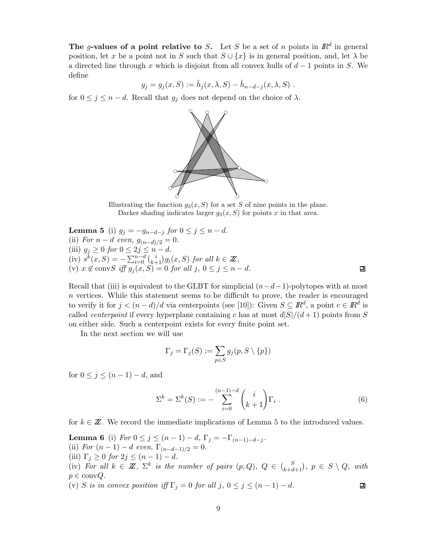The g-values of a point relative to S. Let S be a set of n points in  $\mathbb{R}^d$  in general position, let x be a point not in S such that  $S \cup \{x\}$  is in general position, and, let  $\lambda$  be a directed line through x which is disjoint from all convex hulls of  $d-1$  points in S. We define

$$
g_j = g_j(x, S) := \hat{h}_j(x, \lambda, S) - \hat{h}_{n-d-j}(x, \lambda, S)
$$
.

for  $0 \leq j \leq n-d$ . Recall that  $g_j$  does not depend on the choice of  $\lambda$ .



Illustrating the function  $g_3(x, S)$  for a set S of nine points in the plane. Darker shading indicates larger  $g_3(x, S)$  for points x in that area.

**Lemma 5** (i)  $g_j = -g_{n-d-j}$  for  $0 \le j \le n-d$ . (ii) For  $n - d$  even,  $g_{(n-d)/2} = 0$ . (iii)  $g_j \geq 0$  for  $0 \leq 2j \leq n-d$ . (iv)  $s^k(x, S) = -\sum_{i=0}^{n-d} {i \choose k+1} g_i(x, S)$  for all  $k \in \mathbb{Z}$ . (v)  $x \notin \text{conv}S$  iff  $g_j(x, S) = 0$  for all  $j, 0 \le j \le n - d$ .

Recall that (iii) is equivalent to the GLBT for simplicial  $(n-d-1)$ -polytopes with at most  $n$  vertices. While this statement seems to be difficult to prove, the reader is encouraged to verify it for  $j < (n - d)/d$  via centerpoints (see [10]): Given  $S \subseteq \mathbb{R}^d$ , a point  $c \in \mathbb{R}^d$  is called *centerpoint* if every hyperplane containing c has at most  $d|S|/(d+1)$  points from S on either side. Such a centerpoint exists for every finite point set.

In the next section we will use

$$
\Gamma_j = \Gamma_j(S) := \sum_{p \in S} g_j(p, S \setminus \{p\})
$$

for  $0 \leq j \leq (n-1) - d$ , and

$$
\Sigma^{k} = \Sigma^{k}(S) := -\sum_{i=0}^{(n-1)-d} {i \choose k+1} \Gamma_{i} .
$$
 (6)

for  $k \in \mathbb{Z}$ . We record the immediate implications of Lemma 5 to the introduced values.

**Lemma 6** (i) For  $0 \le j \le (n-1) - d$ ,  $\Gamma_j = -\Gamma_{(n-1)-d-j}$ . (ii) For  $(n-1) - d$  even,  $\Gamma_{(n-d-1)/2} = 0$ . (iii)  $\Gamma_j \geq 0$  for  $2j \leq (n-1) - d$ . (iv) For all  $k \in \mathbb{Z}$ ,  $\Sigma^k$  is the number of pairs  $(p, Q)$ ,  $Q \in {S \choose k+d+1}$ ,  $p \in S \setminus Q$ , with  $p \in \text{conv}Q$ . (v) S is in convex position iff  $\Gamma_j = 0$  for all j,  $0 \le j \le (n-1) - d$ . 回

囙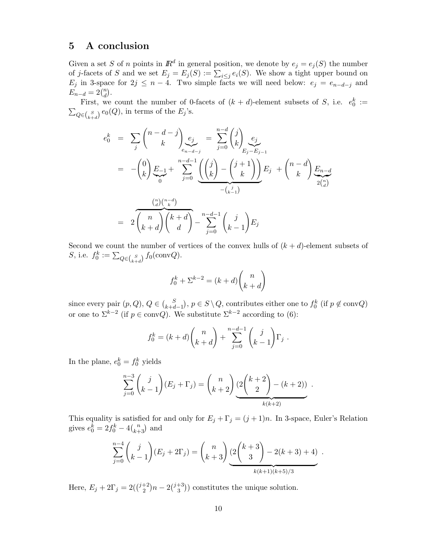# 5 A conclusion

Given a set S of n points in  $\mathbb{R}^d$  in general position, we denote by  $e_j = e_j(S)$  the number of j-facets of S and we set  $E_j = E_j(S) := \sum_{i \leq j} e_i(S)$ . We show a tight upper bound on  $E_j$  in 3-space for  $2j \leq n-4$ . Two simple facts we will need below:  $e_j = e_{n-d-j}$  and  $E_{n-d} = 2 {n \choose d}.$ 

First, we count the number of 0-facets of  $(k + d)$ -element subsets of S, i.e.  $e_0^k :=$  $\sum_{Q \in {S \choose k+d}} e_0(Q)$ , in terms of the  $E_j$ 's.

$$
e_0^k = \sum_j {n-d-j \choose k} e_j e_j = \sum_{j=0}^{n-d} {j \choose k} e_j e_j
$$
  
=  $-(\binom{0}{k} \sum_{j=0}^{k-1} e_j + \sum_{j=0}^{n-d-1} \underbrace{\left( \binom{j}{k} - \binom{j+1}{k} \right)}_{-(k-1)} E_j + \binom{n-d}{k} \underbrace{E_{n-d}}_{2\binom{n}{d}}$   
=  $2 \underbrace{\binom{n}{k+d}}_{k+d} {k+d \choose d} - \sum_{j=0}^{n-d-1} {j \choose k-1} E_j$ 

Second we count the number of vertices of the convex hulls of  $(k + d)$ -element subsets of *S*, i.e.  $f_0^k := \sum_{Q \in {S \choose k+d}} f_0(\text{conv}Q)$ .

$$
f_0^k + \Sigma^{k-2} = (k+d) \binom{n}{k+d}
$$

since every pair  $(p, Q)$ ,  $Q \in \binom{S}{k+d-1}$ ),  $p \in S \setminus Q$ , contributes either one to  $f_0^k$  (if  $p \notin \text{conv}Q$ ) or one to  $\Sigma^{k-2}$  (if  $p \in \text{conv}Q$ ). We substitute  $\Sigma^{k-2}$  according to (6):

$$
f_0^k = (k + d) {n \choose k + d} + \sum_{j=0}^{n-d-1} {j \choose k-1} \Gamma_j.
$$

In the plane,  $e_0^k = f_0^k$  yields

$$
\sum_{j=0}^{n-3} {j \choose k-1} (E_j + \Gamma_j) = {n \choose k+2} \underbrace{(2 {k+2 \choose 2} - (k+2))}_{k(k+2)}.
$$

This equality is satisfied for and only for  $E_j + \Gamma_j = (j + 1)n$ . In 3-space, Euler's Relation gives  $e_0^k = 2f_0^k - 4\binom{n}{k+3}$  and

$$
\sum_{j=0}^{n-4} {j \choose k-1} (E_j + 2\Gamma_j) = {n \choose k+3} \underbrace{(2 {k+3 \choose 3} - 2(k+3) + 4) \choose k(k+1)(k+5)/3}.
$$

Here,  $E_j + 2\Gamma_j = 2\left(\binom{j+2}{2}n - 2\binom{j+3}{3}\right)$  constitutes the unique solution.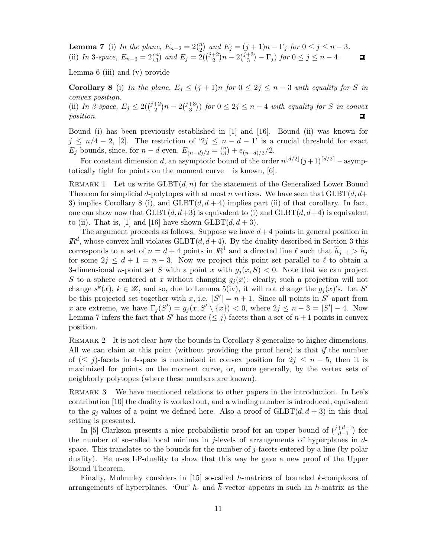**Lemma 7** (i) In the plane,  $E_{n-2} = 2{n \choose 2}$  and  $E_j = (j+1)n - \Gamma_j$  for  $0 \le j \le n-3$ . (ii) In 3-space,  $E_{n-3} = 2\binom{n}{3}$  and  $E_j = 2(\binom{j+2}{2}n - 2\binom{j+3}{3} - \Gamma_j)$  for  $0 \le j \le n-4$ .  $\Box$ 

Lemma 6 (iii) and (v) provide

Corollary 8 (i) In the plane,  $E_j \leq (j+1)n$  for  $0 \leq 2j \leq n-3$  with equality for S in convex position.

(ii) In 3-space,  $E_j \leq 2(\binom{j+2}{2}n - 2\binom{j+3}{3})$  for  $0 \leq 2j \leq n-4$  with equality for S in convex position.

Bound (i) has been previously established in [1] and [16]. Bound (ii) was known for  $j \leq n/4-2$ , [2]. The restriction of ' $2j \leq n-d-1$ ' is a crucial threshold for exact  $E_j$ -bounds, since, for  $n - d$  even,  $E_{(n-d)/2} = {n \choose d} + e_{(n-d)/2}/2$ .

For constant dimension d, an asymptotic bound of the order  $n^{\lfloor d/2 \rfloor}(j+1)^{\lceil d/2 \rceil}$  – asymptotically tight for points on the moment curve – is known,  $[6]$ .

REMARK 1 Let us write  $GLBT(d, n)$  for the statement of the Generalized Lower Bound Theorem for simplicial d-polytopes with at most n vertices. We have seen that  $GLBT(d, d+$ 3) implies Corollary 8 (i), and  $GLBT(d, d+4)$  implies part (ii) of that corollary. In fact, one can show now that  $GLBT(d, d+3)$  is equivalent to (i) and  $GLBT(d, d+4)$  is equivalent to (ii). That is, [1] and [16] have shown  $\text{GLBT}(d, d+3)$ .

The argument proceeds as follows. Suppose we have  $d+4$  points in general position in  $\mathbb{R}^d$ , whose convex hull violates  $\text{GLBT}(d, d+4)$ . By the duality described in Section 3 this corresponds to a set of  $n = d + 4$  points in  $\mathbb{R}^4$  and a directed line  $\ell$  such that  $\overline{h}_{j-1} > \overline{h}_j$ for some  $2j \leq d+1 = n-3$ . Now we project this point set parallel to  $\ell$  to obtain a 3-dimensional *n*-point set S with a point x with  $g_i(x, S) < 0$ . Note that we can project S to a sphere centered at x without changing  $g_i(x)$ : clearly, such a projection will not change  $s^k(x)$ ,  $k \in \mathbb{Z}$ , and so, due to Lemma 5(iv), it will not change the  $g_i(x)$ 's. Let S' be this projected set together with x, i.e.  $|S'| = n + 1$ . Since all points in S' apart from x are extreme, we have  $\Gamma_j(S') = g_j(x, S' \setminus \{x\}) < 0$ , where  $2j \leq n-3 = |S'| - 4$ . Now Lemma 7 infers the fact that S' has more  $(\leq j)$ -facets than a set of  $n+1$  points in convex position.

REMARK 2 It is not clear how the bounds in Corollary 8 generalize to higher dimensions. All we can claim at this point (without providing the proof here) is that if the number of ( $\leq j$ )-facets in 4-space is maximized in convex position for  $2j \leq n-5$ , then it is maximized for points on the moment curve, or, more generally, by the vertex sets of neighborly polytopes (where these numbers are known).

REMARK 3 We have mentioned relations to other papers in the introduction. In Lee's contribution [10] the duality is worked out, and a winding number is introduced, equivalent to the  $q_i$ -values of a point we defined here. Also a proof of  $GLBT(d, d+3)$  in this dual setting is presented.

In [5] Clarkson presents a nice probabilistic proof for an upper bound of  $\binom{j+d-1}{d-1}$  for the number of so-called local minima in  $j$ -levels of arrangements of hyperplanes in  $d$ space. This translates to the bounds for the number of j-facets entered by a line (by polar duality). He uses LP-duality to show that this way he gave a new proof of the Upper Bound Theorem.

Finally, Mulmuley considers in [15] so-called h-matrices of bounded k-complexes of arrangements of hyperplanes. 'Our' h- and  $\bar{h}$ -vector appears in such an h-matrix as the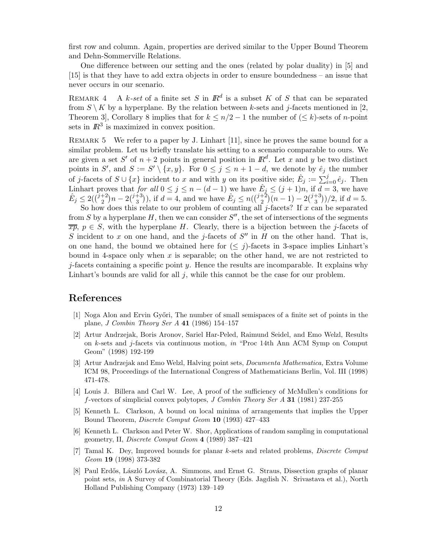first row and column. Again, properties are derived similar to the Upper Bound Theorem and Dehn-Sommerville Relations.

One difference between our setting and the ones (related by polar duality) in [5] and [15] is that they have to add extra objects in order to ensure boundedness – an issue that never occurs in our scenario.

REMARK 4 A k-set of a finite set S in  $\mathbb{R}^d$  is a subset K of S that can be separated from  $S \setminus K$  by a hyperplane. By the relation between k-sets and j-facets mentioned in [2, Theorem 3], Corollary 8 implies that for  $k \leq n/2 - 1$  the number of  $(\leq k)$ -sets of *n*-point sets in  $\mathbb{R}^3$  is maximized in convex position.

REMARK 5 We refer to a paper by J. Linhart [11], since he proves the same bound for a similar problem. Let us briefly translate his setting to a scenario comparable to ours. We are given a set S' of  $n + 2$  points in general position in  $\mathbb{R}^d$ . Let x and y be two distinct points in S', and  $S := S' \setminus \{x, y\}$ . For  $0 \le j \le n + 1 - d$ , we denote by  $\hat{e}_j$  the number of j-facets of  $S \cup \{x\}$  incident to x and with y on its positive side;  $\hat{E}_j := \sum_{i=0}^j \hat{e}_j$ . Then Linhart proves that for all  $0 \le j \le n - (d - 1)$  we have  $E_j \le (j + 1)n$ , if  $d = 3$ , we have  $\hat{E}_j \leq 2(\binom{j+2}{2}n-2\binom{j+3}{3}),$  if  $d=4$ , and we have  $\hat{E}_j \leq n(\binom{j+2}{2}(n-1)-2\binom{j+3}{3})/2$ , if  $d=5$ .

So how does this relate to our problem of counting all  $j$ -facets? If  $x$  can be separated from S by a hyperplane H, then we can consider  $S''$ , the set of intersections of the segments  $\overline{x}p, p \in S$ , with the hyperplane H. Clearly, there is a bijection between the j-facets of S incident to x on one hand, and the *j*-facets of  $S''$  in H on the other hand. That is, on one hand, the bound we obtained here for  $(\leq j)$ -facets in 3-space implies Linhart's bound in 4-space only when  $x$  is separable; on the other hand, we are not restricted to *j*-facets containing a specific point y. Hence the results are incomparable. It explains why Linhart's bounds are valid for all  $j$ , while this cannot be the case for our problem.

### References

- [1] Noga Alon and Ervin Gy˝ori, The number of small semispaces of a finite set of points in the plane, J Combin Theory Ser A 41 (1986) 154–157
- [2] Artur Andrzejak, Boris Aronov, Sariel Har-Peled, Raimund Seidel, and Emo Welzl, Results on k-sets and j-facets via continuous motion, in "Proc 14th Ann ACM Symp on Comput Geom" (1998) 192-199
- [3] Artur Andrzejak and Emo Welzl, Halving point sets, Documenta Mathematica, Extra Volume ICM 98, Proceedings of the International Congress of Mathematicians Berlin, Vol. III (1998) 471-478.
- [4] Louis J. Billera and Carl W. Lee, A proof of the sufficiency of McMullen's conditions for f-vectors of simplicial convex polytopes, J Combin Theory Ser A 31 (1981) 237-255
- [5] Kenneth L. Clarkson, A bound on local minima of arrangements that implies the Upper Bound Theorem, Discrete Comput Geom 10 (1993) 427–433
- [6] Kenneth L. Clarkson and Peter W. Shor, Applications of random sampling in computational geometry, II, Discrete Comput Geom 4 (1989) 387–421
- [7] Tamal K. Dey, Improved bounds for planar k-sets and related problems, Discrete Comput Geom 19 (1998) 373-382
- [8] Paul Erdős, László Lovász, A. Simmons, and Ernst G. Straus, Dissection graphs of planar point sets, in A Survey of Combinatorial Theory (Eds. Jagdish N. Srivastava et al.), North Holland Publishing Company (1973) 139–149